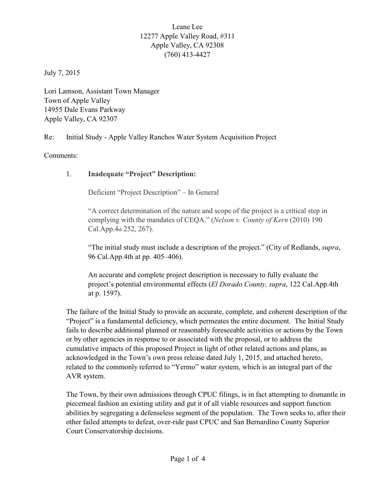## Leane Lee 12277 Apple Valley Road, #311 Apple Valley, CA 92308 (760) 413-4427

July 7, 2015

Lori Lamson, Assistant Town Manager Town of Apple Valley 14955 Dale Evans Parkway Apple Valley, CA 92307

Re: Initial Study - Apple Valley Ranchos Water System Acquisition Project

Comments:

## 1. **Inadequate "Project" Description:**

Deficient "Project Description" – In General

"A correct determination of the nature and scope of the project is a critical step in complying with the mandates of CEQA." (*Nelson v. County of Kern* (2010) 190 Cal.App.4th 252, 267).

"The initial study must include a description of the project." (City of Redlands, *supra*, 96 Cal.App.4th at pp. 405–406).

An accurate and complete project description is necessary to fully evaluate the project's potential environmental effects (*El Dorado County, supra*, 122 Cal.App.4th at p. 1597).

The failure of the Initial Study to provide an accurate, complete, and coherent description of the "Project" is a fundamental deficiency, which permeates the entire document. The Initial Study fails to describe additional planned or reasonably foreseeable activities or actions by the Town or by other agencies in response to or associated with the proposal, or to address the cumulative impacts of this proposed Project in light of other related actions and plans, as acknowledged in the Town's own press release dated July 1, 2015, and attached hereto, related to the commonly referred to "Yermo" water system, which is an integral part of the AVR system.

The Town, by their own admissions through CPUC filings, is in fact attempting to dismantle in piecemeal fashion an existing utility and gut it of all viable resources and support function abilities by segregating a defenseless segment of the population. The Town seeks to, after their other failed attempts to defeat, over-ride past CPUC and San Bernardino County Superior Court Conservatorship decisions.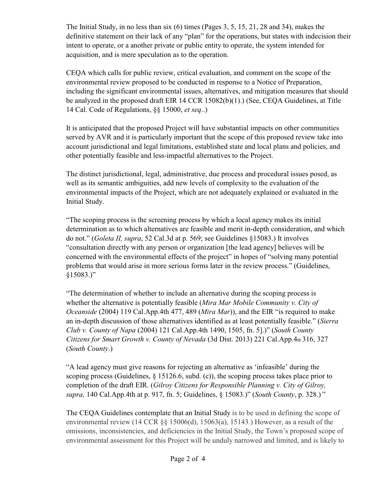The Initial Study, in no less than six (6) times (Pages 3, 5, 15, 21, 28 and 34), makes the definitive statement on their lack of any "plan" for the operations, but states with indecision their intent to operate, or a another private or public entity to operate, the system intended for acquisition, and is mere speculation as to the operation.

CEQA which calls for public review, critical evaluation, and comment on the scope of the environmental review proposed to be conducted in response to a Notice of Preparation, including the significant environmental issues, alternatives, and mitigation measures that should be analyzed in the proposed draft EIR 14 CCR 15082(b)(1).) (See, CEQA Guidelines, at Title 14 Cal. Code of Regulations, §§ 15000, *et seq*..)

It is anticipated that the proposed Project will have substantial impacts on other communities served by AVR and it is particularly important that the scope of this proposed review take into account jurisdictional and legal limitations, established state and local plans and policies, and other potentially feasible and less-impactful alternatives to the Project.

The distinct jurisdictional, legal, administrative, due process and procedural issues posed, as well as its semantic ambiguities, add new levels of complexity to the evaluation of the environmental impacts of the Project, which are not adequately explained or evaluated in the Initial Study.

"The scoping process is the screening process by which a local agency makes its initial determination as to which alternatives are feasible and merit in-depth consideration, and which do not." (*Goleta II, supra*, 52 Cal.3d at p. 569; see Guidelines §15083.) It involves "consultation directly with any person or organization [the lead agency] believes will be concerned with the environmental effects of the project" in hopes of "solving many potential problems that would arise in more serious forms later in the review process." (Guidelines, §15083.)"

"The determination of whether to include an alternative during the scoping process is whether the alternative is potentially feasible (*Mira Mar Mobile Community v. City of Oceanside* (2004) 119 Cal.App.4th 477, 489 (*Mira Mar*)), and the EIR "is required to make an in-depth discussion of those alternatives identified as at least potentially feasible." (*Sierra Club v. County of Napa* (2004) 121 Cal.App.4th 1490, 1505, fn. 5].)" (*South County Citizens for Smart Growth v. County of Nevada* (3d Dist. 2013) 221 Cal.App.4th 316, 327 (*South County*.)

"A lead agency must give reasons for rejecting an alternative as 'infeasible' during the scoping process (Guidelines, § 15126.6, subd. (c)), the scoping process takes place prior to completion of the draft EIR. (*Gilroy Citizens for Responsible Planning v. City of Gilroy, supra,* 140 Cal.App.4th at p. 917, fn. 5; Guidelines, § 15083.)" (*South County*, p. 328.) "

The CEQA Guidelines contemplate that an Initial Study is to be used in defining the scope of environmental review (14 CCR §§ 15006(d), 15063(a), 15143.) However, as a result of the omissions, inconsistencies, and deficiencies in the Initial Study, the Town's proposed scope of environmental assessment for this Project will be unduly narrowed and limited, and is likely to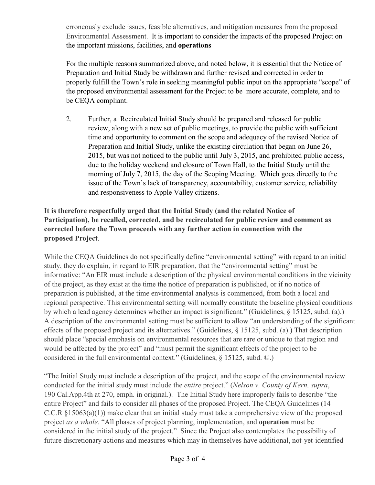erroneously exclude issues, feasible alternatives, and mitigation measures from the proposed Environmental Assessment. It is important to consider the impacts of the proposed Project on the important missions, facilities, and **operations**

For the multiple reasons summarized above, and noted below, it is essential that the Notice of Preparation and Initial Study be withdrawn and further revised and corrected in order to properly fulfill the Town's role in seeking meaningful public input on the appropriate "scope" of the proposed environmental assessment for the Project to be more accurate, complete, and to be CEQA compliant.

2. Further, a Recirculated Initial Study should be prepared and released for public review, along with a new set of public meetings, to provide the public with sufficient time and opportunity to comment on the scope and adequacy of the revised Notice of Preparation and Initial Study, unlike the existing circulation that began on June 26, 2015, but was not noticed to the public until July 3, 2015, and prohibited public access, due to the holiday weekend and closure of Town Hall, to the Initial Study until the morning of July 7, 2015, the day of the Scoping Meeting. Which goes directly to the issue of the Town's lack of transparency, accountability, customer service, reliability and responsiveness to Apple Valley citizens.

## **It is therefore respectfully urged that the Initial Study (and the related Notice of Participation), be recalled, corrected, and be recirculated for public review and comment as corrected before the Town proceeds with any further action in connection with the proposed Project**.

While the CEQA Guidelines do not specifically define "environmental setting" with regard to an initial study, they do explain, in regard to EIR preparation, that the "environmental setting" must be informative: "An EIR must include a description of the physical environmental conditions in the vicinity of the project, as they exist at the time the notice of preparation is published, or if no notice of preparation is published, at the time environmental analysis is commenced, from both a local and regional perspective. This environmental setting will normally constitute the baseline physical conditions by which a lead agency determines whether an impact is significant." (Guidelines, § 15125, subd. (a).) A description of the environmental setting must be sufficient to allow "an understanding of the significant effects of the proposed project and its alternatives." (Guidelines, § 15125, subd. (a).) That description should place "special emphasis on environmental resources that are rare or unique to that region and would be affected by the project" and "must permit the significant effects of the project to be considered in the full environmental context." (Guidelines, § 15125, subd. ©.)

"The Initial Study must include a description of the project, and the scope of the environmental review conducted for the initial study must include the *entire* project." (*Nelson v. County of Kern, supra*, 190 Cal.App.4th at 270, emph. in original.). The Initial Study here improperly fails to describe "the entire Project" and fails to consider all phases of the proposed Project. The CEQA Guidelines (14 C.C.R §15063(a)(1)) make clear that an initial study must take a comprehensive view of the proposed project *as a whole*. "All phases of project planning, implementation, and **operation** must be considered in the initial study of the project." Since the Project also contemplates the possibility of future discretionary actions and measures which may in themselves have additional, not-yet-identified